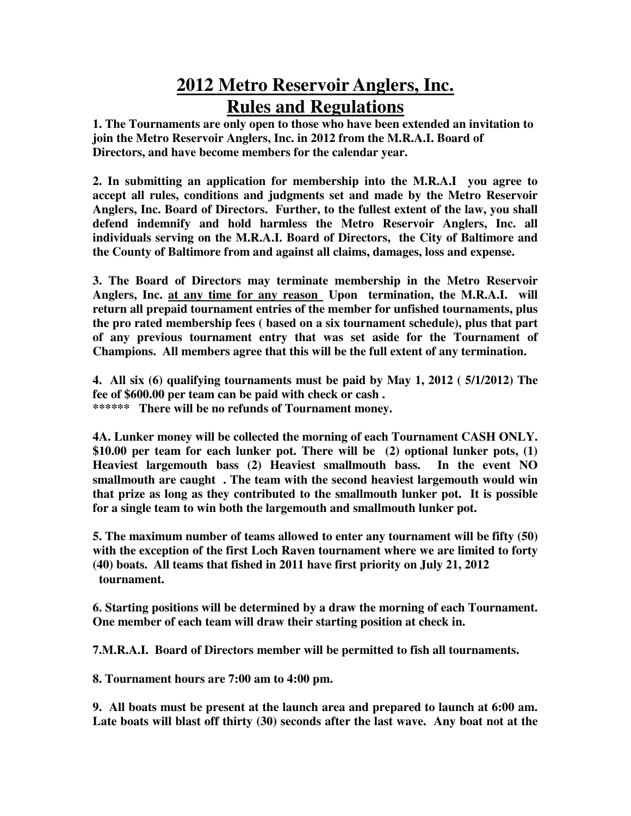## **2012 Metro Reservoir Anglers, Inc. Rules and Regulations**

**1. The Tournaments are only open to those who have been extended an invitation to join the Metro Reservoir Anglers, Inc. in 2012 from the M.R.A.I. Board of Directors, and have become members for the calendar year.** 

**2. In submitting an application for membership into the M.R.A.I you agree to accept all rules, conditions and judgments set and made by the Metro Reservoir Anglers, Inc. Board of Directors. Further, to the fullest extent of the law, you shall defend indemnify and hold harmless the Metro Reservoir Anglers, Inc. all individuals serving on the M.R.A.I. Board of Directors, the City of Baltimore and the County of Baltimore from and against all claims, damages, loss and expense.** 

**3. The Board of Directors may terminate membership in the Metro Reservoir Anglers, Inc. at any time for any reason Upon termination, the M.R.A.I. will return all prepaid tournament entries of the member for unfished tournaments, plus the pro rated membership fees ( based on a six tournament schedule), plus that part of any previous tournament entry that was set aside for the Tournament of Champions. All members agree that this will be the full extent of any termination.** 

**4. All six (6) qualifying tournaments must be paid by May 1, 2012 ( 5/1/2012) The fee of \$600.00 per team can be paid with check or cash . \*\*\*\*\*\* There will be no refunds of Tournament money.** 

**4A. Lunker money will be collected the morning of each Tournament CASH ONLY. \$10.00 per team for each lunker pot. There will be (2) optional lunker pots, (1) Heaviest largemouth bass (2) Heaviest smallmouth bass. In the event NO smallmouth are caught . The team with the second heaviest largemouth would win that prize as long as they contributed to the smallmouth lunker pot. It is possible for a single team to win both the largemouth and smallmouth lunker pot.** 

**5. The maximum number of teams allowed to enter any tournament will be fifty (50) with the exception of the first Loch Raven tournament where we are limited to forty (40) boats. All teams that fished in 2011 have first priority on July 21, 2012 tournament.** 

**6. Starting positions will be determined by a draw the morning of each Tournament. One member of each team will draw their starting position at check in.** 

**7.M.R.A.I. Board of Directors member will be permitted to fish all tournaments.** 

**8. Tournament hours are 7:00 am to 4:00 pm.** 

**9. All boats must be present at the launch area and prepared to launch at 6:00 am. Late boats will blast off thirty (30) seconds after the last wave. Any boat not at the**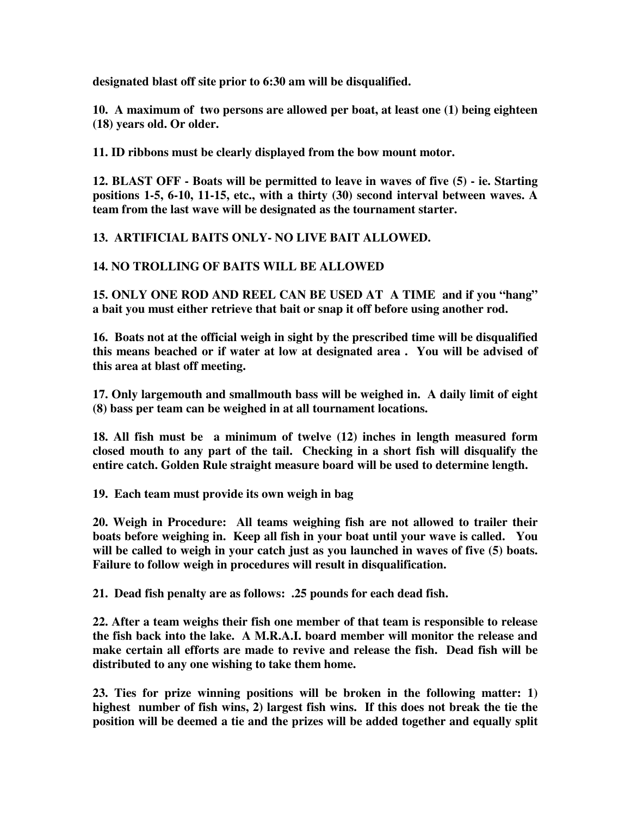**designated blast off site prior to 6:30 am will be disqualified.** 

**10. A maximum of two persons are allowed per boat, at least one (1) being eighteen (18) years old. Or older.** 

**11. ID ribbons must be clearly displayed from the bow mount motor.** 

**12. BLAST OFF - Boats will be permitted to leave in waves of five (5) - ie. Starting positions 1-5, 6-10, 11-15, etc., with a thirty (30) second interval between waves. A team from the last wave will be designated as the tournament starter.** 

**13. ARTIFICIAL BAITS ONLY- NO LIVE BAIT ALLOWED.** 

## **14. NO TROLLING OF BAITS WILL BE ALLOWED**

**15. ONLY ONE ROD AND REEL CAN BE USED AT A TIME and if you "hang" a bait you must either retrieve that bait or snap it off before using another rod.** 

**16. Boats not at the official weigh in sight by the prescribed time will be disqualified this means beached or if water at low at designated area . You will be advised of this area at blast off meeting.** 

**17. Only largemouth and smallmouth bass will be weighed in. A daily limit of eight (8) bass per team can be weighed in at all tournament locations.** 

**18. All fish must be a minimum of twelve (12) inches in length measured form closed mouth to any part of the tail. Checking in a short fish will disqualify the entire catch. Golden Rule straight measure board will be used to determine length.** 

**19. Each team must provide its own weigh in bag** 

**20. Weigh in Procedure: All teams weighing fish are not allowed to trailer their boats before weighing in. Keep all fish in your boat until your wave is called. You will be called to weigh in your catch just as you launched in waves of five (5) boats. Failure to follow weigh in procedures will result in disqualification.** 

**21. Dead fish penalty are as follows: .25 pounds for each dead fish.** 

**22. After a team weighs their fish one member of that team is responsible to release the fish back into the lake. A M.R.A.I. board member will monitor the release and make certain all efforts are made to revive and release the fish. Dead fish will be distributed to any one wishing to take them home.** 

**23. Ties for prize winning positions will be broken in the following matter: 1) highest number of fish wins, 2) largest fish wins. If this does not break the tie the position will be deemed a tie and the prizes will be added together and equally split**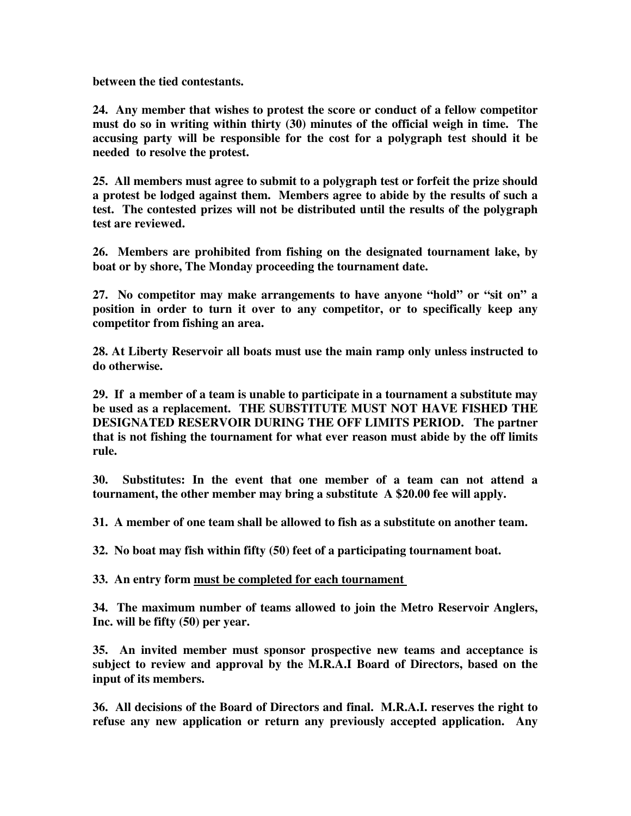**between the tied contestants.** 

**24. Any member that wishes to protest the score or conduct of a fellow competitor must do so in writing within thirty (30) minutes of the official weigh in time. The accusing party will be responsible for the cost for a polygraph test should it be needed to resolve the protest.** 

**25. All members must agree to submit to a polygraph test or forfeit the prize should a protest be lodged against them. Members agree to abide by the results of such a test. The contested prizes will not be distributed until the results of the polygraph test are reviewed.** 

**26. Members are prohibited from fishing on the designated tournament lake, by boat or by shore, The Monday proceeding the tournament date.** 

**27. No competitor may make arrangements to have anyone "hold" or "sit on" a position in order to turn it over to any competitor, or to specifically keep any competitor from fishing an area.** 

**28. At Liberty Reservoir all boats must use the main ramp only unless instructed to do otherwise.** 

**29. If a member of a team is unable to participate in a tournament a substitute may be used as a replacement. THE SUBSTITUTE MUST NOT HAVE FISHED THE DESIGNATED RESERVOIR DURING THE OFF LIMITS PERIOD. The partner that is not fishing the tournament for what ever reason must abide by the off limits rule.** 

**30. Substitutes: In the event that one member of a team can not attend a tournament, the other member may bring a substitute A \$20.00 fee will apply.** 

**31. A member of one team shall be allowed to fish as a substitute on another team.** 

**32. No boat may fish within fifty (50) feet of a participating tournament boat.** 

**33. An entry form must be completed for each tournament** 

**34. The maximum number of teams allowed to join the Metro Reservoir Anglers, Inc. will be fifty (50) per year.** 

**35. An invited member must sponsor prospective new teams and acceptance is subject to review and approval by the M.R.A.I Board of Directors, based on the input of its members.** 

**36. All decisions of the Board of Directors and final. M.R.A.I. reserves the right to refuse any new application or return any previously accepted application. Any**